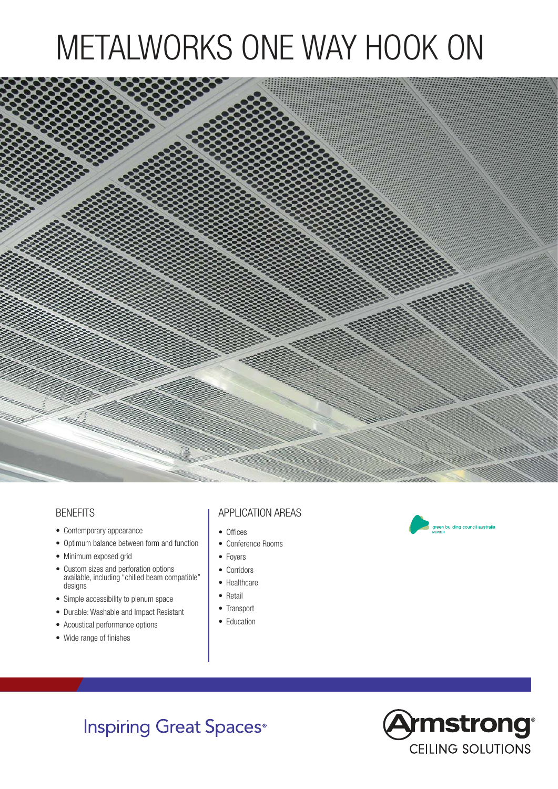## METALWORKS ONE WAY HOOK ON



## **BENEFITS**

- Contemporary appearance
- Optimum balance between form and function
- Minimum exposed grid
- Custom sizes and perforation options available, including "chilled beam compatible" designs
- Simple accessibility to plenum space
- Durable: Washable and Impact Resistant
- Acoustical performance options
- Wide range of finishes

## APPLICATION AREAS

- Offices
- Conference Rooms
- Foyers
- Corridors
- Healthcare
- Retail
- Transport
- Education